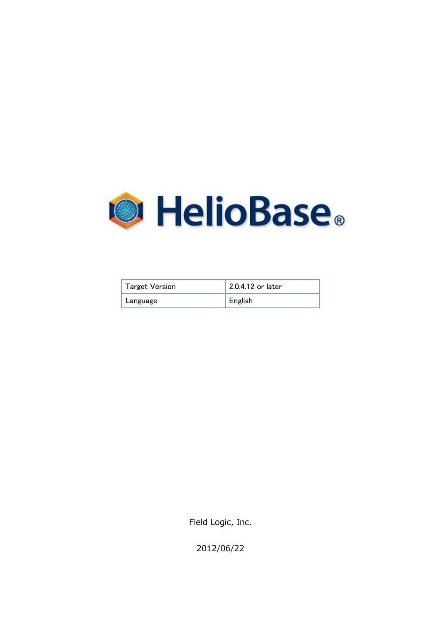

| <b>Target Version</b> | 2.0.4.12 or later |
|-----------------------|-------------------|
| Language              | English           |

Field Logic, Inc.

2012/06/22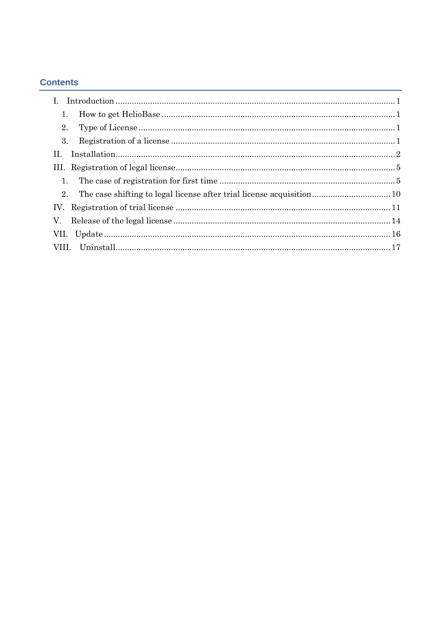## **Contents**

| $\mathbf{L}$ |
|--------------|
| 1.           |
| 2.           |
| 3.           |
| H.           |
|              |
| 1.           |
| $2_{-}$      |
| IV.          |
| V.           |
|              |
| VIII.        |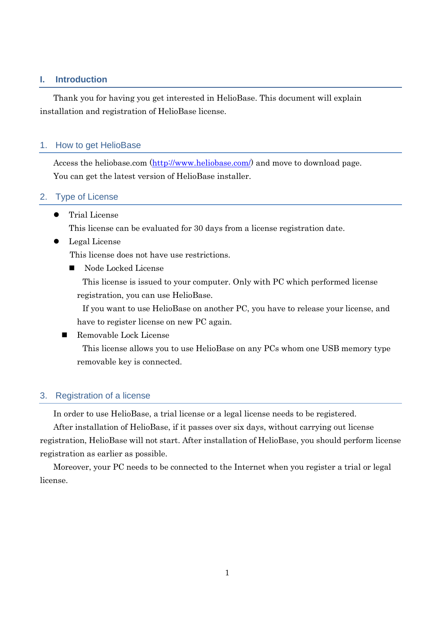#### <span id="page-2-0"></span>**I. Introduction**

Thank you for having you get interested in HelioBase. This document will explain installation and registration of HelioBase license.

#### <span id="page-2-1"></span>1. How to get HelioBase

Access the heliobase.com [\(http://www.heliobase.com/\)](http://www.heliobase.com/) and move to download page. You can get the latest version of HelioBase installer.

#### <span id="page-2-2"></span>2. Type of License

Trial License

This license can be evaluated for 30 days from a license registration date.

Legal License

This license does not have use restrictions.

Node Locked License

This license is issued to your computer. Only with PC which performed license registration, you can use HelioBase.

If you want to use HelioBase on another PC, you have to release your license, and have to register license on new PC again.

Removable Lock License

This license allows you to use HelioBase on any PCs whom one USB memory type removable key is connected.

#### <span id="page-2-3"></span>3. Registration of a license

In order to use HelioBase, a trial license or a legal license needs to be registered.

After installation of HelioBase, if it passes over six days, without carrying out license registration, HelioBase will not start. After installation of HelioBase, you should perform license registration as earlier as possible.

Moreover, your PC needs to be connected to the Internet when you register a trial or legal license.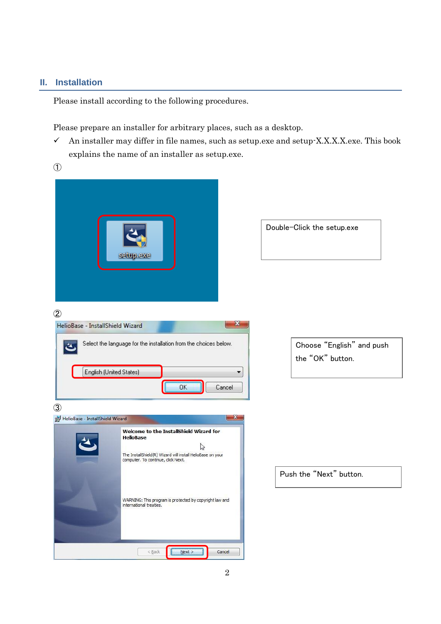#### <span id="page-3-0"></span>**II. Installation**

Please install according to the following procedures.

Please prepare an installer for arbitrary places, such as a desktop.

- $\checkmark$  An installer may differ in file names, such as setup.exe and setup-X.X.X.X.exe. This book explains the name of an installer as setup.exe.
- $\mathcal{L}$

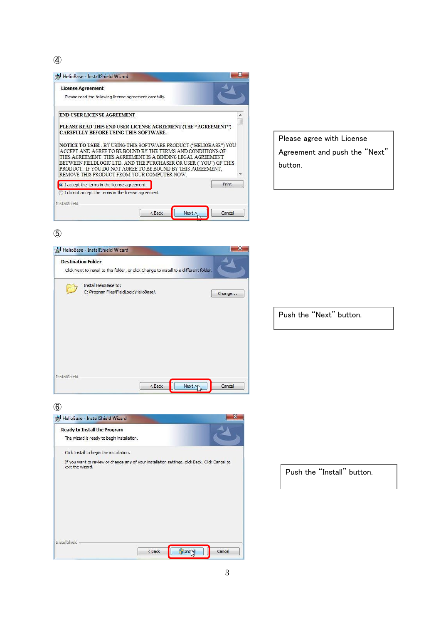④



Please agree with License Agreement and push the "Next" button.

#### ⑤



Push the "Next" button.

⑥



Push the "Install" button.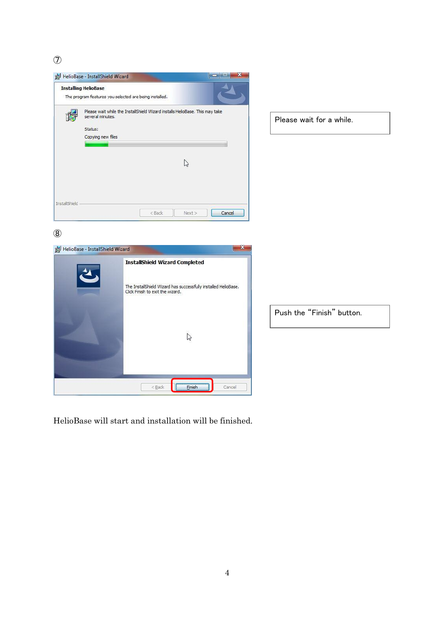$\circled{7}$ 



HelioBase will start and installation will be finished.

 $<$  Back

**TEMPLE Einish** 

Cancel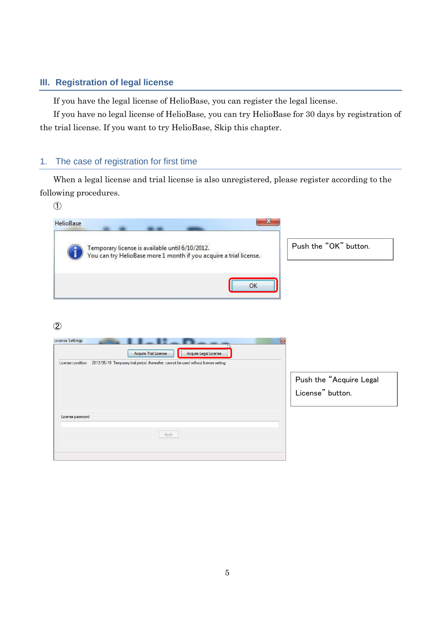## <span id="page-6-0"></span>**III. Registration of legal license**

If you have the legal license of HelioBase, you can register the legal license.

If you have no legal license of HelioBase, you can try HelioBase for 30 days by registration of the trial license. If you want to try HelioBase, Skip this chapter.

# <span id="page-6-1"></span>1. The case of registration for first time

When a legal license and trial license is also unregistered, please register according to the following procedures.

| $\circled{1}$                                                                                                         |                         |
|-----------------------------------------------------------------------------------------------------------------------|-------------------------|
| x<br>HelioBase                                                                                                        |                         |
| Temporary license is available until 6/10/2012.<br>You can try HelioBase more 1 month if you acquire a trial license. | Push the "OK" button.   |
| OK                                                                                                                    |                         |
| $\circled{2}$                                                                                                         |                         |
| <b>License Settings</b><br>$\mathbf{E}$<br>Acquire Trial License<br>Acquire Legal License                             |                         |
| 2012/06/10 Temporary trial period, thereafter, cannot be used without license setting.<br>License condition           |                         |
|                                                                                                                       | Push the "Acquire Legal |
|                                                                                                                       | License" button.        |
| License password                                                                                                      |                         |
|                                                                                                                       |                         |
| Apply                                                                                                                 |                         |
|                                                                                                                       |                         |
|                                                                                                                       |                         |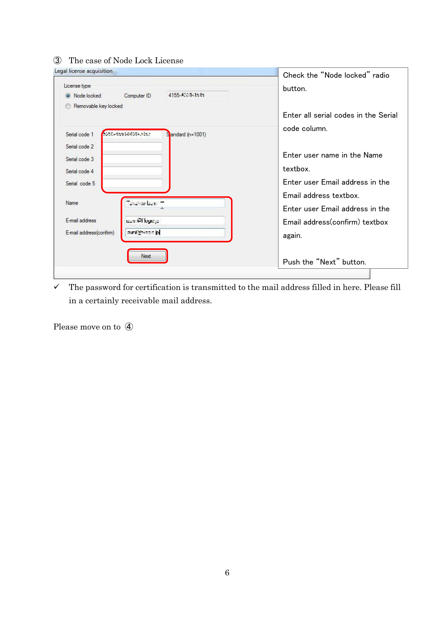## ③ The case of Node Lock License

| Legal license acquisition                                                                          | Check the "Node locked" radio                                                                        |
|----------------------------------------------------------------------------------------------------|------------------------------------------------------------------------------------------------------|
| License type<br>4155-A.M. Luth<br>O Node locked<br>Computer ID                                     | button.                                                                                              |
| Removable key locked<br>CONTRACTION/MADE<br>Serial code 1<br>Sandard (n=1001)                      | Enter all serial codes in the Serial<br>code column.                                                 |
| Serial code 2<br>Serial code 3<br>Serial code 4<br>Serial code 5                                   | Enter user name in the Name<br>textbox.<br>Enter user Email address in the<br>Email address textbox. |
| duction date.<br>Name<br>F-mail address<br>uan Miloge p<br>amichiado bi<br>E-mail address(confirm) | Enter user Email address in the<br>Email address(confirm) textbox<br>again.                          |
| Next                                                                                               | Push the "Next" button.                                                                              |

 $\checkmark$  The password for certification is transmitted to the mail address filled in here. Please fill in a certainly receivable mail address.

Please move on to ④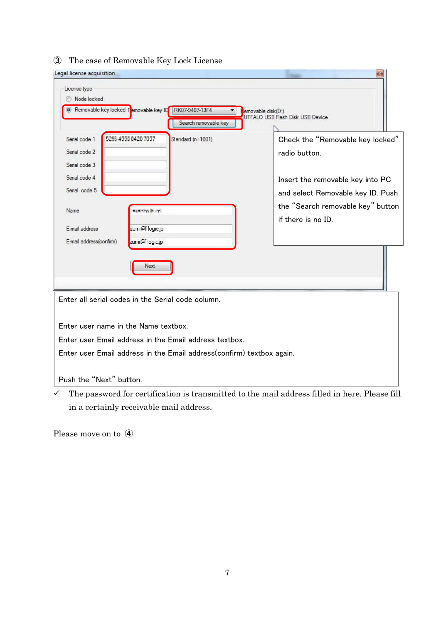| Legal license acquisition                                                                                                                                                                                                                   | -83                                                                                                                                                                                   |
|---------------------------------------------------------------------------------------------------------------------------------------------------------------------------------------------------------------------------------------------|---------------------------------------------------------------------------------------------------------------------------------------------------------------------------------------|
| License type<br>Node locked<br>Removable key locked Femovable key ID RK07-9407-13F4<br>▼<br>Search removable key                                                                                                                            | Removable disk(D:)<br>UFFALO USB Flash Disk USB Device                                                                                                                                |
| 5283-4990 0420 7057<br>Serial code 1<br>Standard (n=1001)<br>Serial code 2<br>Serial code 3<br>Serial code 4<br>Serial code 5<br>Name<br>kanto bumi<br>E-mail address<br>uum 64 kape ja<br>E-mail address(confirm)<br><b>ARTICLE STORES</b> | Check the "Removable key locked"<br>radio button.<br>Insert the removable key into PC<br>and select Removable key ID. Push<br>the "Search removable key" button<br>if there is no ID. |
| Next                                                                                                                                                                                                                                        |                                                                                                                                                                                       |
| Enter all serial codes in the Serial code column.                                                                                                                                                                                           |                                                                                                                                                                                       |
| Enter user name in the Name textbox.                                                                                                                                                                                                        |                                                                                                                                                                                       |
| Enter user Email address in the Email address textbox.                                                                                                                                                                                      |                                                                                                                                                                                       |
| Enter user Email address in the Email address(confirm) textbox again.                                                                                                                                                                       |                                                                                                                                                                                       |
| Push the "Next" button.                                                                                                                                                                                                                     |                                                                                                                                                                                       |

#### ③ The case of Removable Key Lock License

 $\checkmark$  The password for certification is transmitted to the mail address filled in here. Please fill in a certainly receivable mail address.

Please move on to ④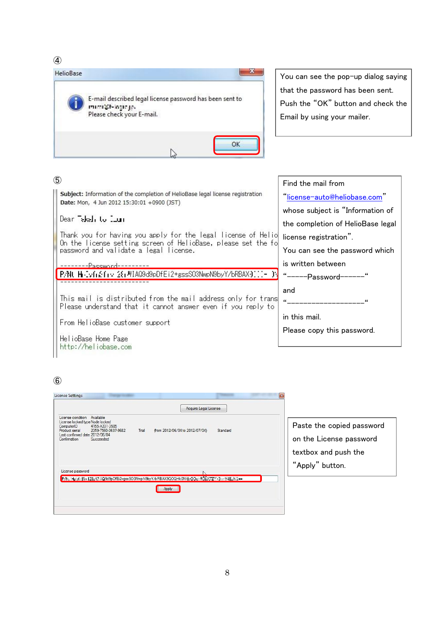④



You can see the pop-up dialog saying that the password has been sent. Push the "OK" button and check the Email by using your mailer.

#### ⑤

Subject: Information of the completion of HelioBase legal license registration Date: Mon, 4 Jun 2012 15:30:01 +0900 (JST)

#### Dear Takel, to Lun.

Thank you for having you apply for the legal license of Helio On the license setting screen of HelioBase, please set the fo<br>password and validate a legal license.

---Password----P.NU H : vfr&fry 2{rMIAQ9d9pDfEi2+gssS03NwpN9byY/bRBAX} :: - }

This mail is distributed from the mail address only for trans Please understand that it cannot answer even if you reply to

From HelioBase customer support

HelioBase Home Page http://heliobase.com

# Find the mail from ["license-auto@heliobase.com"](mailto:license-auto@heliobase.com) whose subject is "Information of the completion of HelioBase legal license registration". You can see the password which is written between "-----Password------" and "--------------------<sup>"</sup> in this mail. Please copy this password.

# ⑥

| License Settings                                                                                                                                                                                       |       | Acquire Legal License          |          | $\mathbf{E}$                                                                                    |
|--------------------------------------------------------------------------------------------------------------------------------------------------------------------------------------------------------|-------|--------------------------------|----------|-------------------------------------------------------------------------------------------------|
| License condition Available<br>License locked type Node locked<br>4155-A331-3585<br>ComputerID<br>2359-7560-3637-9682<br>Product serial<br>Last confirmed date 2012/06/04<br>Confirmation<br>Succeeded | Trial | from 2012/06/04 to 2012/07/04) | Standard | Paste the copied password<br>on the License password<br>textbox and push the<br>"Apply" button. |
| License password<br>P. N. Holyh Brix 128aW (109d9pDfEi2+gssSO3NwpN9byY/bRBAX9QOQHk0NleyODel RDDXX7ZT (5nn V4EaNClee)                                                                                   |       |                                |          |                                                                                                 |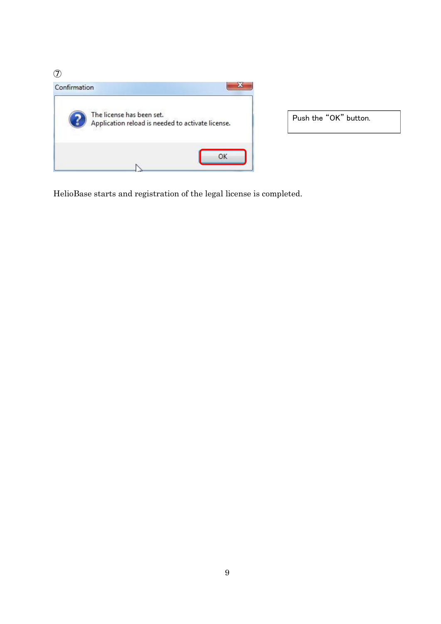$\circled{7}$ 



HelioBase starts and registration of the legal license is completed.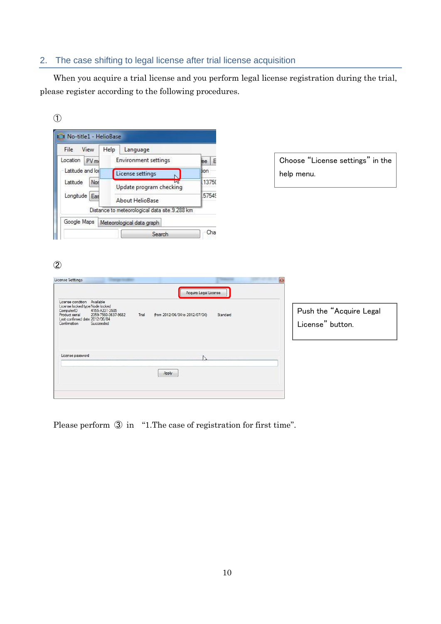## <span id="page-11-0"></span>2. The case shifting to legal license after trial license acquisition

When you acquire a trial license and you perform legal license registration during the trial, please register according to the following procedures.

|   | ×                 |
|---|-------------------|
|   |                   |
| w | I<br>ç<br>۰.<br>v |



Please perform ③ in "[1.The case of registration for first time](#page-6-1)".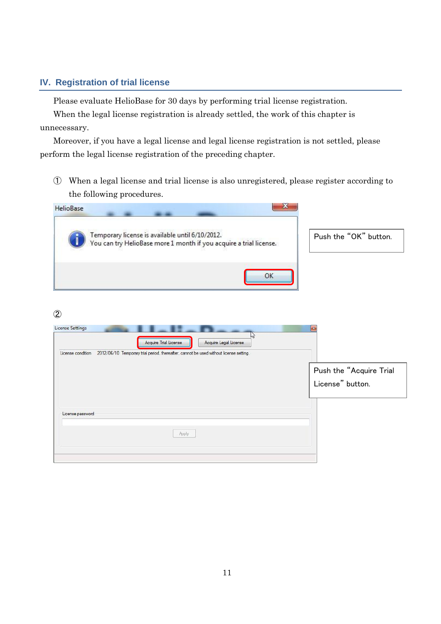### <span id="page-12-0"></span>**IV. Registration of trial license**

Please evaluate HelioBase for 30 days by performing trial license registration.

When the legal license registration is already settled, the work of this chapter is unnecessary.

Moreover, if you have a legal license and legal license registration is not settled, please perform the legal license registration of the preceding chapter.

① When a legal license and trial license is also unregistered, please register according to the following procedures.

| х<br><b>HelioBase</b>                                                                                                                                              |                         |
|--------------------------------------------------------------------------------------------------------------------------------------------------------------------|-------------------------|
| Temporary license is available until 6/10/2012.<br>You can try HelioBase more 1 month if you acquire a trial license.                                              | Push the "OK" button.   |
| OK                                                                                                                                                                 |                         |
| $\circled{2}$<br>License Settings                                                                                                                                  | $-53$                   |
| ど<br>Acquire Trial License<br>Acquire Legal License<br>2012/06/10 Temporary trial period, thereafter, cannot be used without license setting.<br>License condition |                         |
|                                                                                                                                                                    | Push the "Acquire Trial |
|                                                                                                                                                                    | License" button.        |
| License password<br>Apply                                                                                                                                          |                         |
|                                                                                                                                                                    |                         |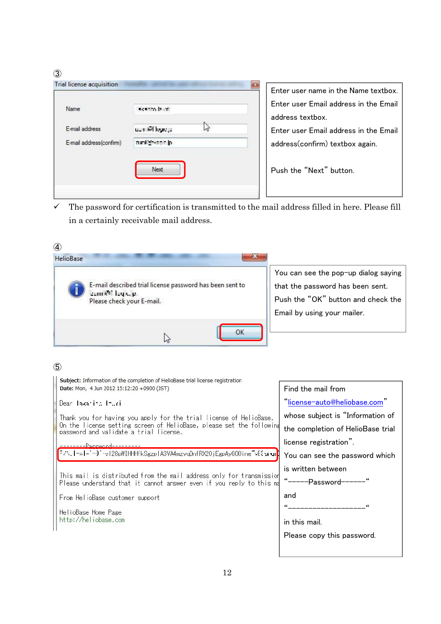③

| Trial license acquisition |                   | Enter user name in the Name textbox.                      |
|---------------------------|-------------------|-----------------------------------------------------------|
| Name                      | scento burti      | Enter user Email address in the Email<br>address textbox. |
| E-mail address            | uumieli kongo     | Enter user Email address in the Email                     |
| E-mail address(confirm)   | municipies and in | address(confirm) textbox again.                           |
|                           | Next              | Push the "Next" button.                                   |
|                           |                   |                                                           |

 $\checkmark$  The password for certification is transmitted to the mail address filled in here. Please fill in a certainly receivable mail address.

| ④                                                                                                                                            |                                                                                                                                               |
|----------------------------------------------------------------------------------------------------------------------------------------------|-----------------------------------------------------------------------------------------------------------------------------------------------|
| HelioBase                                                                                                                                    |                                                                                                                                               |
| E-mail described trial license password has been sent to<br>zunnet logs.p.<br>Please check your E-mail.                                      | You can see the pop-up dialog saying<br>that the password has been sent.<br>Push the "OK" button and check the<br>Email by using your mailer. |
| ОК<br>じ                                                                                                                                      |                                                                                                                                               |
| $\circledS$                                                                                                                                  |                                                                                                                                               |
| Subject: Information of the completion of HelioBase trial license registration<br>Date: Mon, 4 Jun 2012 15:12:20 +0900 (JST)                 | Find the mail from                                                                                                                            |
| Dear Iskaning Inuri                                                                                                                          | "license-auto@heliobase.com"                                                                                                                  |
| Thank you for having you apply for the trial license of HelioBase.<br>On the license setting screen of HelioBase, please set the following   | whose subject is "Information of<br>the completion of HelioBase trial                                                                         |
| password and validate a trial license.                                                                                                       | license registration".                                                                                                                        |
| F.N. I-al- [alian] 4.128pWIHHHfkSgzplA3VA4mzvqDnfRX20jEgpAy600ine [alian un <mark>]</mark>                                                   | You can see the password which                                                                                                                |
| This mail is distributed from the mail address only for transmission<br>Please understand that it cannot answer even if you reply to this ma | is written between<br>"------Password-------"                                                                                                 |
| From HelioBase customer support                                                                                                              | and                                                                                                                                           |
| HelioBase Home Page<br>http://heliobase.com                                                                                                  | ________________<br>in this mail.                                                                                                             |
|                                                                                                                                              | Please copy this password.                                                                                                                    |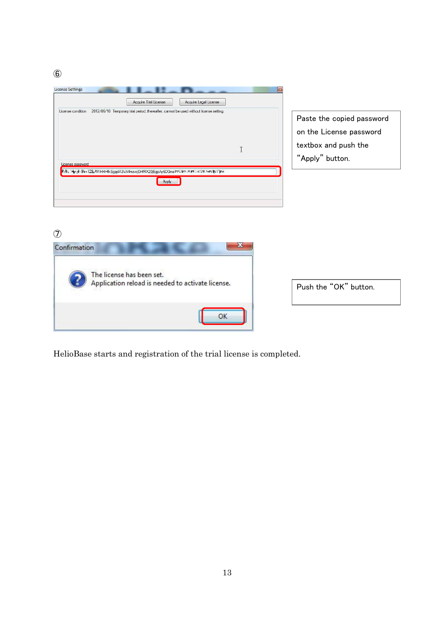⑥

|                   |                                                                                        | Acquire Legal License |                                                      |
|-------------------|----------------------------------------------------------------------------------------|-----------------------|------------------------------------------------------|
| License condition | 2012/06/10 Temporary trial period, thereafter, cannot be used without license setting. |                       | Paste the copied password<br>on the License password |
|                   |                                                                                        |                       | textbox and push the                                 |
| License password  |                                                                                        |                       | "Apply" button.                                      |

 $\circled{7}$ 



Push the "OK" button.

HelioBase starts and registration of the trial license is completed.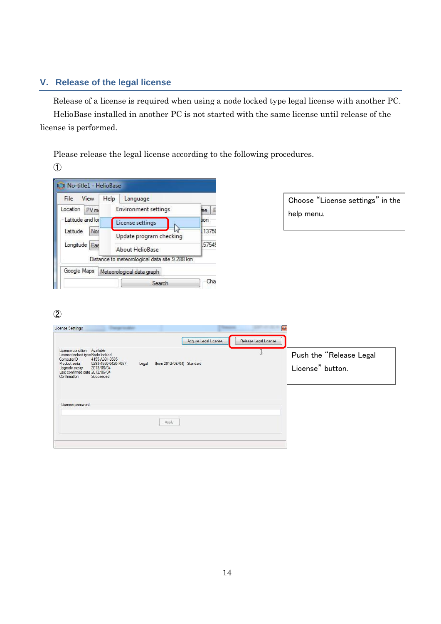# <span id="page-15-0"></span>**V. Release of the legal license**

Release of a license is required when using a node locked type legal license with another PC. HelioBase installed in another PC is not started with the same license until release of the license is performed.

Please release the legal license according to the following procedures.

①

| File                                                 | View            | Help                                       | Language                                      |         |
|------------------------------------------------------|-----------------|--------------------------------------------|-----------------------------------------------|---------|
| Location                                             | PV <sub>m</sub> |                                            | <b>Environment settings</b>                   | Æ<br>ee |
| Latitude and lor<br>Latitude<br>Nor<br>Longitude Eas |                 | License settings                           |                                               | tion    |
|                                                      |                 | Update program checking<br>About HelioBase |                                               | 13750   |
|                                                      |                 |                                            |                                               | 57549   |
|                                                      |                 |                                            | Distance to meteorological data site.9.288 km |         |
| Google Maps                                          |                 |                                            | Meteorological data graph                     |         |
|                                                      |                 |                                            | Search                                        | Cha     |

| Choose "License settings" in the |  |
|----------------------------------|--|
| help menu.                       |  |

# ②

| License Settings                                                                                                                                                                                                                                                             | Acquire Legal License | $\mathbf{r}$<br>Release Legal License |                                             |
|------------------------------------------------------------------------------------------------------------------------------------------------------------------------------------------------------------------------------------------------------------------------------|-----------------------|---------------------------------------|---------------------------------------------|
| License condition Available<br>License locked type Node locked<br>4155-A331-3585<br>ComputerID<br>5293-4550-0420-7057<br>from 2012/06/04) Standard<br>Product serial<br>Legal<br>2013/06/04<br>Upgrade expiry<br>Last confirmed date 2012/06/04<br>Confirmation<br>Succeeded |                       |                                       | Push the "Release Legal<br>License" button. |
| License password                                                                                                                                                                                                                                                             |                       |                                       |                                             |
| Apply                                                                                                                                                                                                                                                                        |                       |                                       |                                             |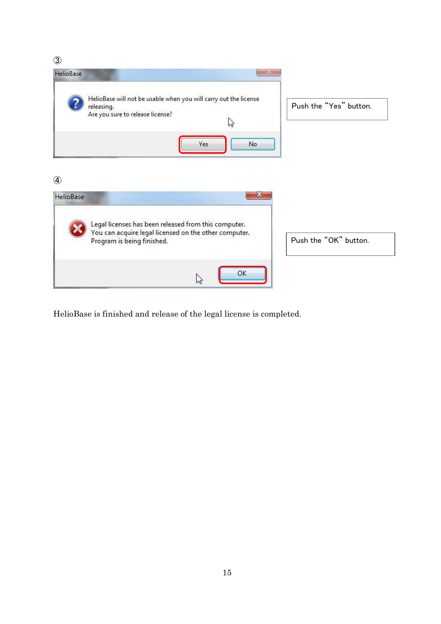③



HelioBase is finished and release of the legal license is completed.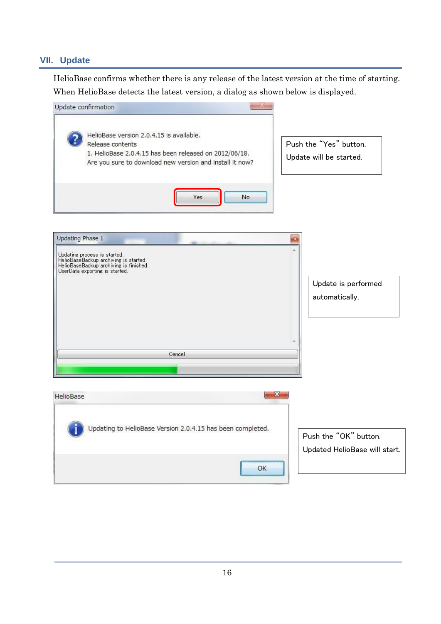#### <span id="page-17-0"></span>**VII. Update**

HelioBase confirms whether there is any release of the latest version at the time of starting. When HelioBase detects the latest version, a dialog as shown below is displayed.

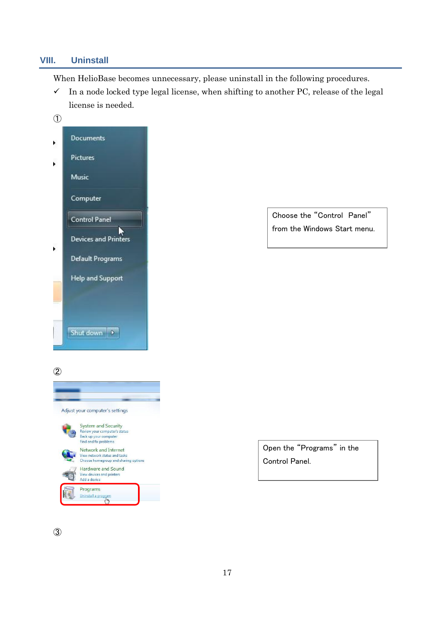#### <span id="page-18-0"></span>**VIII. Uninstall**

When HelioBase becomes unnecessary, please uninstall in the following procedures.

 $\checkmark$  In a node locked type legal license, when shifting to another PC, release of the legal license is needed.



Choose the "Control Panel" from the Windows Start menu.

②



③

Open the "Programs" in the Control Panel.